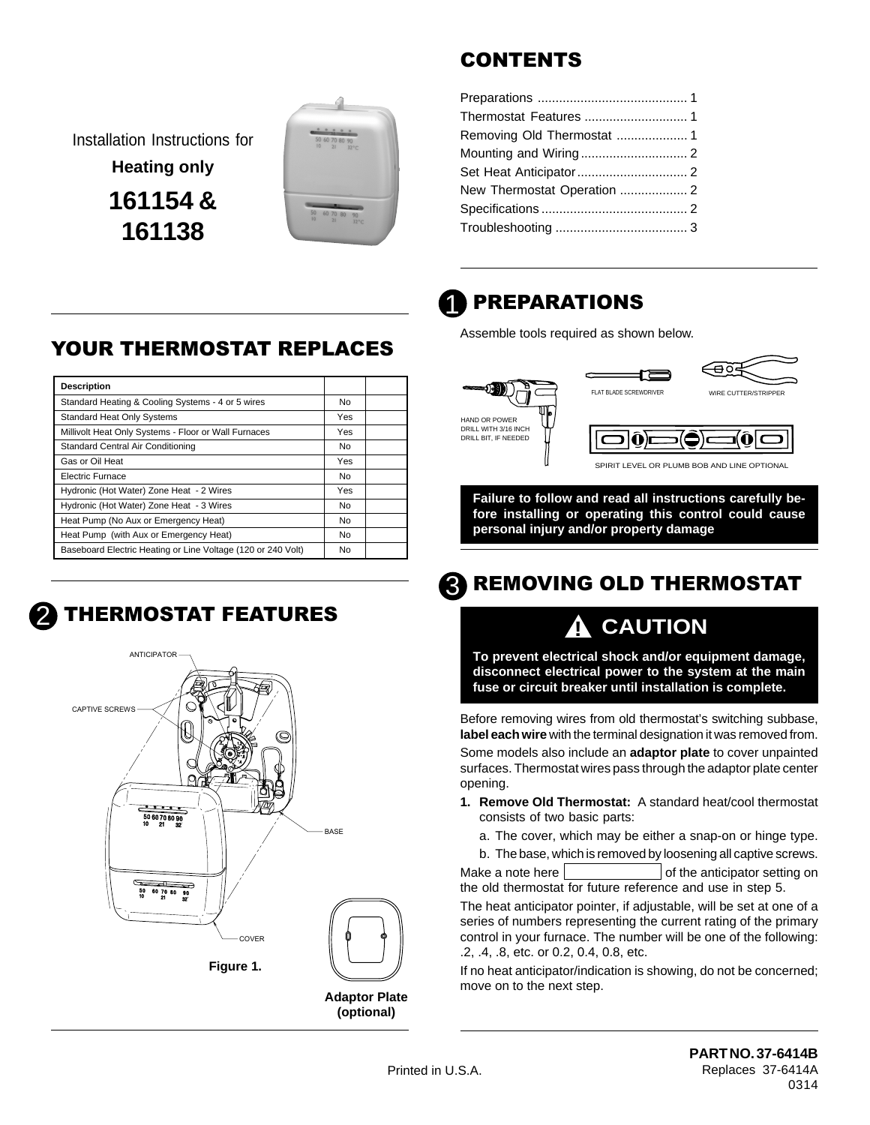Installation Instructions for **Heating only 161154 & 161138**



### **CONTENTS**

| Thermostat Features  1      |  |
|-----------------------------|--|
|                             |  |
|                             |  |
|                             |  |
| New Thermostat Operation  2 |  |
|                             |  |
|                             |  |
|                             |  |

### **PREPARATIONS** 1

Assemble tools required as shown below.



**Failure to follow and read all instructions carefully before installing or operating this control could cause personal injury and/or property damage**

### **REMOVING OLD THERMOSTAT** 3

## **! CAUTION**

**To prevent electrical shock and/or equipment damage, disconnect electrical power to the system at the main fuse or circuit breaker until installation is complete.**

Before removing wires from old thermostat's switching subbase, **label each wire** with the terminal designation it was removed from.

Some models also include an **adaptor plate** to cover unpainted surfaces. Thermostat wires pass through the adaptor plate center opening.

- **1. Remove Old Thermostat:** A standard heat/cool thermostat consists of two basic parts:
	- a. The cover, which may be either a snap-on or hinge type.
	- b. The base, which is removed by loosening all captive screws.

Make a note here  $\vert$   $\vert$  of the anticipator setting on the old thermostat for future reference and use in step 5.

The heat anticipator pointer, if adjustable, will be set at one of a series of numbers representing the current rating of the primary control in your furnace. The number will be one of the following: .2, .4, .8, etc. or 0.2, 0.4, 0.8, etc.

If no heat anticipator/indication is showing, do not be concerned; move on to the next step.

### **YOUR THERMOSTAT REPLACES**

| <b>Description</b>                                           |           |  |
|--------------------------------------------------------------|-----------|--|
| Standard Heating & Cooling Systems - 4 or 5 wires            | No.       |  |
| <b>Standard Heat Only Systems</b>                            | Yes       |  |
| Millivolt Heat Only Systems - Floor or Wall Furnaces         | Yes       |  |
| Standard Central Air Conditioning                            | No.       |  |
| Gas or Oil Heat                                              | Yes       |  |
| Electric Furnace                                             | <b>No</b> |  |
| Hydronic (Hot Water) Zone Heat - 2 Wires                     | Yes       |  |
| Hydronic (Hot Water) Zone Heat - 3 Wires                     | <b>No</b> |  |
| Heat Pump (No Aux or Emergency Heat)                         | No        |  |
| Heat Pump (with Aux or Emergency Heat)                       | <b>No</b> |  |
| Baseboard Electric Heating or Line Voltage (120 or 240 Volt) | <b>No</b> |  |

### **THERMOSTAT FEATURES** 2



**PART NO. 37-6414B** Replaces 37-6414A 0314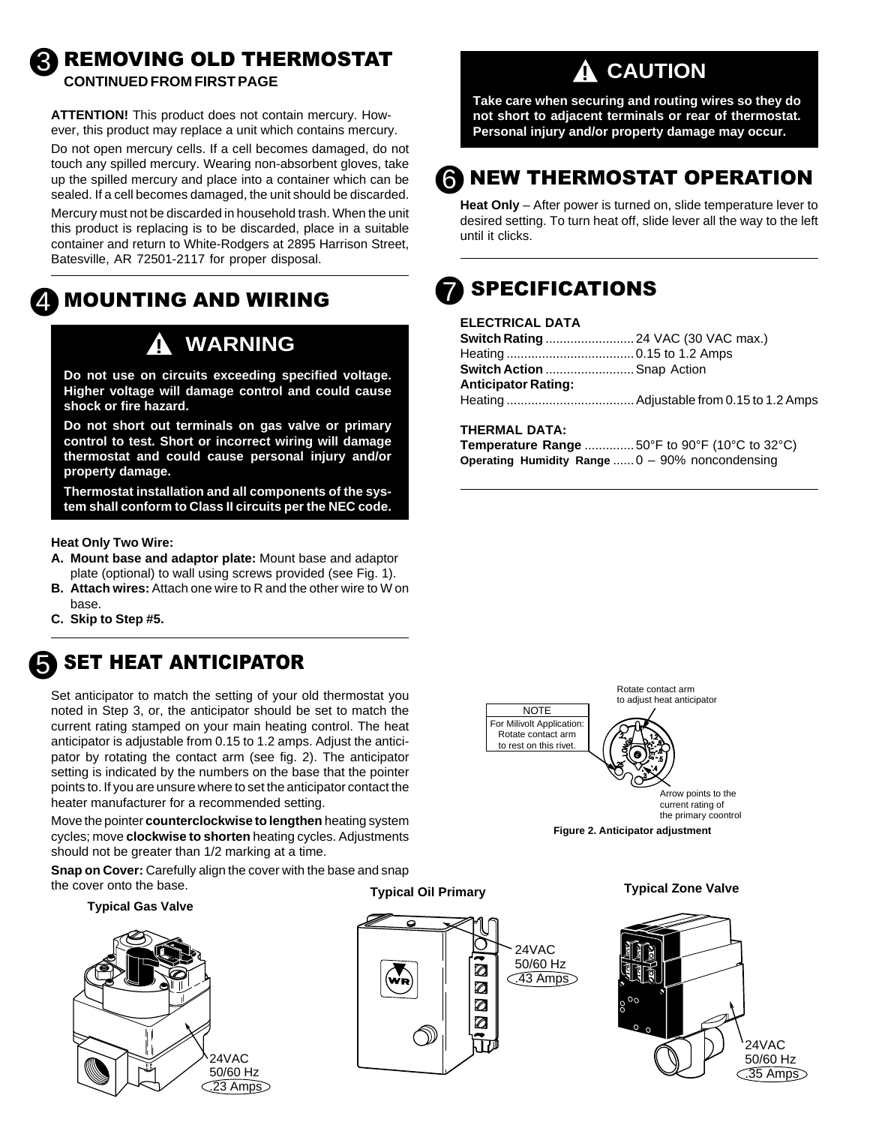### **REMOVING OLD THERMOSTAT CONTINUED FROM FIRST PAGE**

**ATTENTION!** This product does not contain mercury. However, this product may replace a unit which contains mercury. Do not open mercury cells. If a cell becomes damaged, do not touch any spilled mercury. Wearing non-absorbent gloves, take up the spilled mercury and place into a container which can be sealed. If a cell becomes damaged, the unit should be discarded. Mercury must not be discarded in household trash. When the unit this product is replacing is to be discarded, place in a suitable container and return to White-Rodgers at 2895 Harrison Street, Batesville, AR 72501-2117 for proper disposal.

#### **MOUNTING AND WIRING** 4

## **! WARNING**

**Do not use on circuits exceeding specified voltage. Higher voltage will damage control and could cause shock or fire hazard.**

**Do not short out terminals on gas valve or primary control to test. Short or incorrect wiring will damage thermostat and could cause personal injury and/or property damage.**

**Thermostat installation and all components of the system shall conform to Class II circuits per the NEC code.**

**Heat Only Two Wire:**

- **A. Mount base and adaptor plate:** Mount base and adaptor plate (optional) to wall using screws provided (see Fig. 1).
- **B. Attach wires:** Attach one wire to R and the other wire to W on base.
- **C. Skip to Step #5.**



3

### **SET HEAT ANTICIPATOR**

Set anticipator to match the setting of your old thermostat you noted in Step 3, or, the anticipator should be set to match the current rating stamped on your main heating control. The heat anticipator is adjustable from 0.15 to 1.2 amps. Adjust the anticipator by rotating the contact arm (see fig. 2). The anticipator setting is indicated by the numbers on the base that the pointer points to. If you are unsure where to set the anticipator contact the heater manufacturer for a recommended setting.

Move the pointer **counterclockwise to lengthen** heating system cycles; move **clockwise to shorten** heating cycles. Adjustments should not be greater than 1/2 marking at a time.

**Snap on Cover:** Carefully align the cover with the base and snap the cover onto the base.

#### **Typical Gas Valve**



**Typical Oil Primary**



## **! CAUTION**

**Take care when securing and routing wires so they do not short to adjacent terminals or rear of thermostat. Personal injury and/or property damage may occur.**

## **G** NEW THERMOSTAT OPERATION

**Heat Only** – After power is turned on, slide temperature lever to desired setting. To turn heat off, slide lever all the way to the left until it clicks.

### **SPECIFICATIONS** 7

### **ELECTRICAL DATA**

| <b>Switch Action  Snap Action</b> |
|-----------------------------------|
|                                   |
|                                   |
|                                   |

#### **THERMAL DATA:**

**Temperature Range** ..............50°F to 90°F (10°C to 32°C) **Operating Humidity Range** ......0 – 90% noncondensing



**Typical Zone Valve**